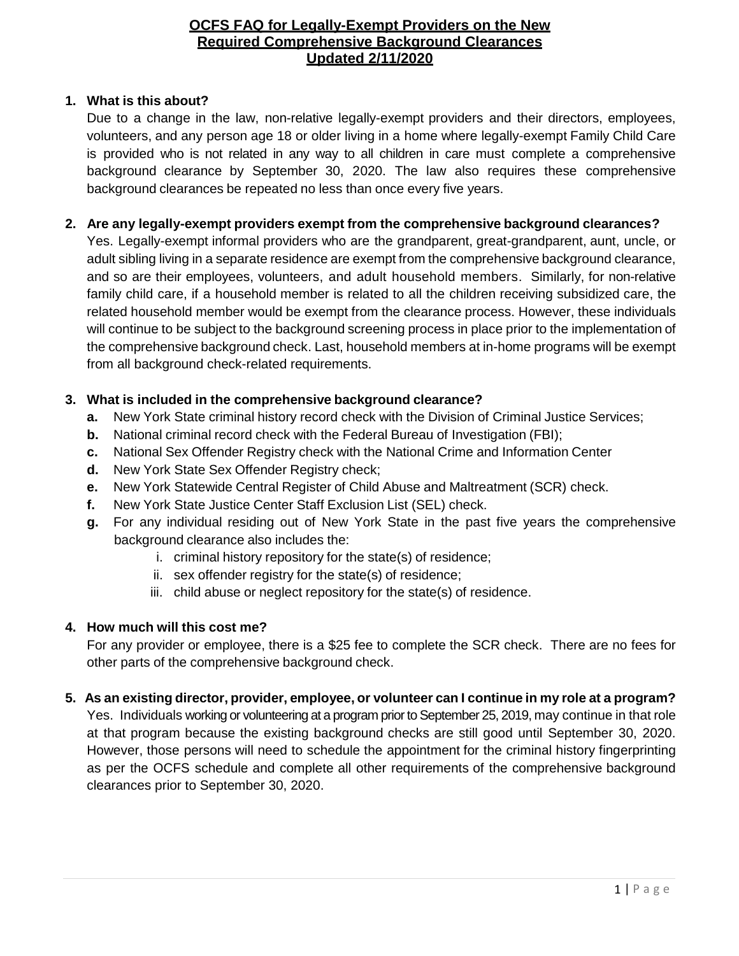### **1. What is this about?**

Due to a change in the law, non-relative legally-exempt providers and their directors, employees, volunteers, and any person age 18 or older living in a home where legally-exempt Family Child Care is provided who is not related in any way to all children in care must complete a comprehensive background clearance by September 30, 2020. The law also requires these comprehensive background clearances be repeated no less than once every five years.

### **2. Are any legally-exempt providers exempt from the comprehensive background clearances?**

Yes. Legally-exempt informal providers who are the grandparent, great-grandparent, aunt, uncle, or adult sibling living in a separate residence are exempt from the comprehensive background clearance, and so are their employees, volunteers, and adult household members. Similarly, for non-relative family child care, if a household member is related to all the children receiving subsidized care, the related household member would be exempt from the clearance process. However, these individuals will continue to be subject to the background screening process in place prior to the implementation of the comprehensive background check. Last, household members at in-home programs will be exempt from all background check-related requirements.

### **3. What is included in the comprehensive background clearance?**

- **a.** New York State criminal history record check with the Division of Criminal Justice Services;
- **b.** National criminal record check with the Federal Bureau of Investigation (FBI);
- **c.** National Sex Offender Registry check with the National Crime and Information Center
- **d.** New York State Sex Offender Registry check;
- **e.** New York Statewide Central Register of Child Abuse and Maltreatment (SCR) check.
- **f.** New York State Justice Center Staff Exclusion List (SEL) check.
- **g.** For any individual residing out of New York State in the past five years the comprehensive background clearance also includes the:
	- i. criminal history repository for the state(s) of residence;
	- ii. sex offender registry for the state(s) of residence;
	- iii. child abuse or neglect repository for the state(s) of residence.

## **4. How much will this cost me?**

For any provider or employee, there is a \$25 fee to complete the SCR check. There are no fees for other parts of the comprehensive background check.

# **5. As an existing director, provider, employee, or volunteer can I continue in my role at a program?**

Yes. Individuals working or volunteering at a program prior to September 25, 2019, may continue in that role at that program because the existing background checks are still good until September 30, 2020. However, those persons will need to schedule the appointment for the criminal history fingerprinting as per the OCFS schedule and complete all other requirements of the comprehensive background clearances prior to September 30, 2020.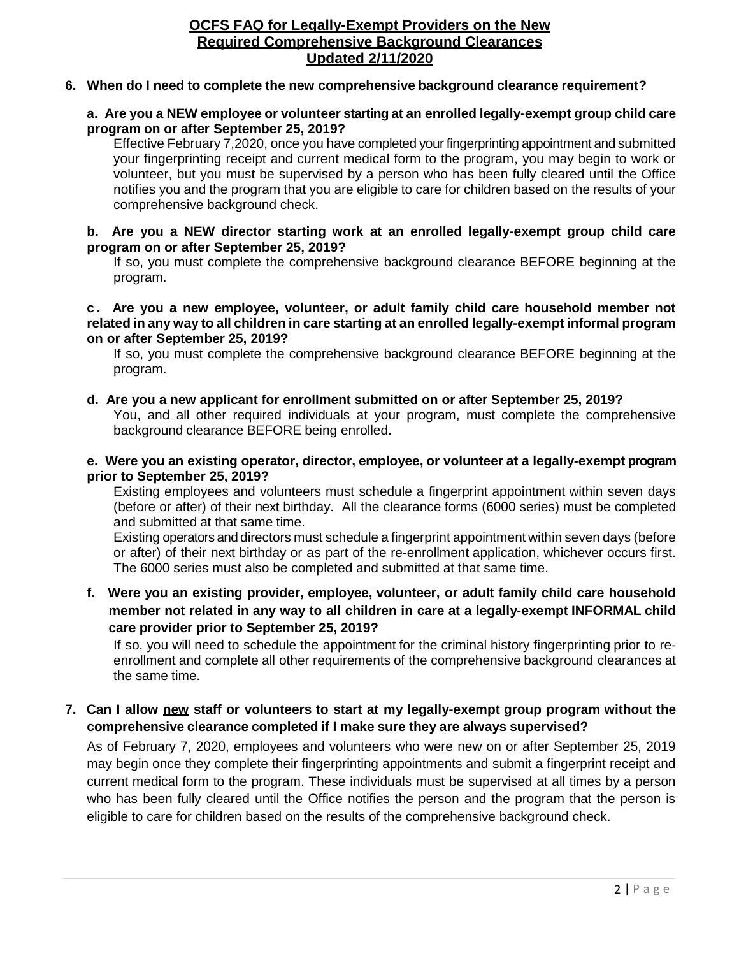#### **6. When do I need to complete the new comprehensive background clearance requirement?**

#### **a. Are you a NEW employee or volunteer starting at an enrolled legally-exempt group child care program on or after September 25, 2019?**

Effective February 7,2020, once you have completed your fingerprinting appointment and submitted your fingerprinting receipt and current medical form to the program, you may begin to work or volunteer, but you must be supervised by a person who has been fully cleared until the Office notifies you and the program that you are eligible to care for children based on the results of your comprehensive background check.

#### **b. Are you a NEW director starting work at an enrolled legally-exempt group child care program on or after September 25, 2019?**

If so, you must complete the comprehensive background clearance BEFORE beginning at the program.

#### **c . Are you a new employee, volunteer, or adult family child care household member not related in any way to all children in care starting at an enrolled legally-exempt informal program on or after September 25, 2019?**

If so, you must complete the comprehensive background clearance BEFORE beginning at the program.

#### **d. Are you a new applicant for enrollment submitted on or after September 25, 2019?**

You, and all other required individuals at your program, must complete the comprehensive background clearance BEFORE being enrolled.

#### **e. Were you an existing operator, director, employee, or volunteer at a legally-exempt program prior to September 25, 2019?**

Existing employees and volunteers must schedule a fingerprint appointment within seven days (before or after) of their next birthday. All the clearance forms (6000 series) must be completed and submitted at that same time.

Existing operators and directors must schedule a fingerprint appointment within seven days (before or after) of their next birthday or as part of the re-enrollment application, whichever occurs first. The 6000 series must also be completed and submitted at that same time.

## **f. Were you an existing provider, employee, volunteer, or adult family child care household member not related in any way to all children in care at a legally-exempt INFORMAL child care provider prior to September 25, 2019?**

If so, you will need to schedule the appointment for the criminal history fingerprinting prior to reenrollment and complete all other requirements of the comprehensive background clearances at the same time.

### **7. Can I allow new staff or volunteers to start at my legally-exempt group program without the comprehensive clearance completed if I make sure they are always supervised?**

As of February 7, 2020, employees and volunteers who were new on or after September 25, 2019 may begin once they complete their fingerprinting appointments and submit a fingerprint receipt and current medical form to the program. These individuals must be supervised at all times by a person who has been fully cleared until the Office notifies the person and the program that the person is eligible to care for children based on the results of the comprehensive background check.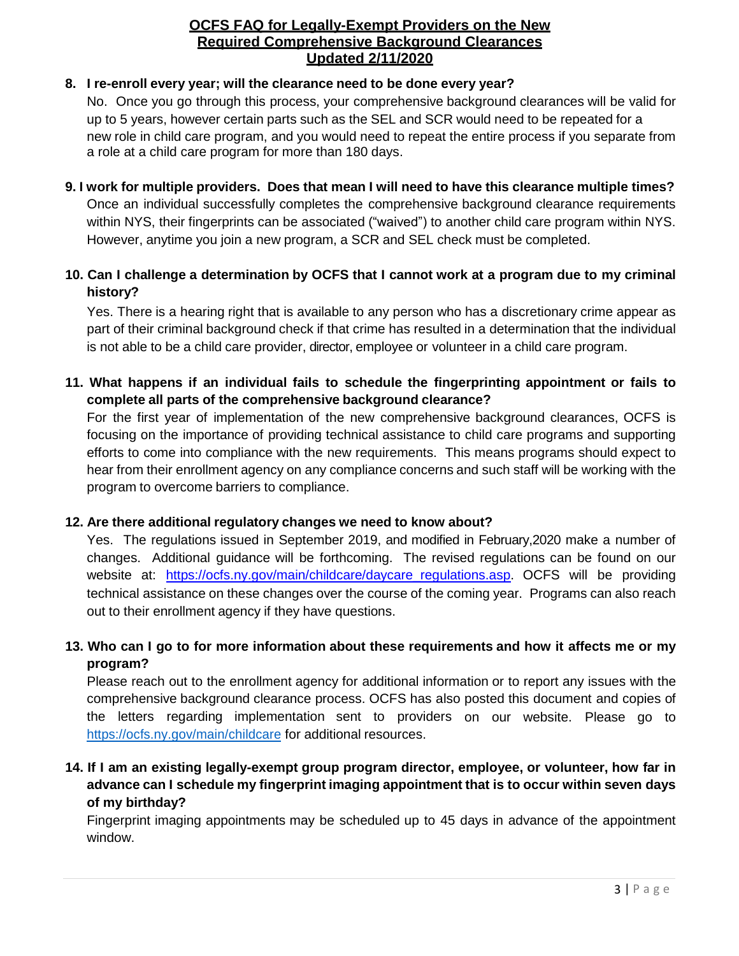# **8. I re-enroll every year; will the clearance need to be done every year?**

No. Once you go through this process, your comprehensive background clearances will be valid for up to 5 years, however certain parts such as the SEL and SCR would need to be repeated for a new role in child care program, and you would need to repeat the entire process if you separate from a role at a child care program for more than 180 days.

## **9. I work for multiple providers. Does that mean I will need to have this clearance multiple times?** Once an individual successfully completes the comprehensive background clearance requirements within NYS, their fingerprints can be associated ("waived") to another child care program within NYS. However, anytime you join a new program, a SCR and SEL check must be completed.

# **10. Can I challenge a determination by OCFS that I cannot work at a program due to my criminal history?**

Yes. There is a hearing right that is available to any person who has a discretionary crime appear as part of their criminal background check if that crime has resulted in a determination that the individual is not able to be a child care provider, director, employee or volunteer in a child care program.

# **11. What happens if an individual fails to schedule the fingerprinting appointment or fails to complete all parts of the comprehensive background clearance?**

For the first year of implementation of the new comprehensive background clearances, OCFS is focusing on the importance of providing technical assistance to child care programs and supporting efforts to come into compliance with the new requirements. This means programs should expect to hear from their enrollment agency on any compliance concerns and such staff will be working with the program to overcome barriers to compliance.

## **12. Are there additional regulatory changes we need to know about?**

Yes. The regulations issued in September 2019, and modified in February,2020 make a number of changes. Additional guidance will be forthcoming. The revised regulations can be found on our website at: https://ocfs.ny.gov/main/childcare/daycare regulations.asp. OCFS will be providing technical assistance on these changes over the course of the coming year. Programs can also reach out to their enrollment agency if they have questions.

# 13. Who can I go to for more information about these requirements and how it affects me or my **program?**

Please reach out to the enrollment agency for additional information or to report any issues with the comprehensive background clearance process. OCFS has also posted this document and copies of the letters regarding implementation sent to providers on our website. Please go to [https://ocfs.ny.gov/main/c](https://ocfs.ny.gov/main/)hildcare for additional resources.

# **14. If I am an existing legally-exempt group program director, employee, or volunteer, how far in advance can I schedule my fingerprint imaging appointment that is to occur within seven days of my birthday?**

Fingerprint imaging appointments may be scheduled up to 45 days in advance of the appointment window.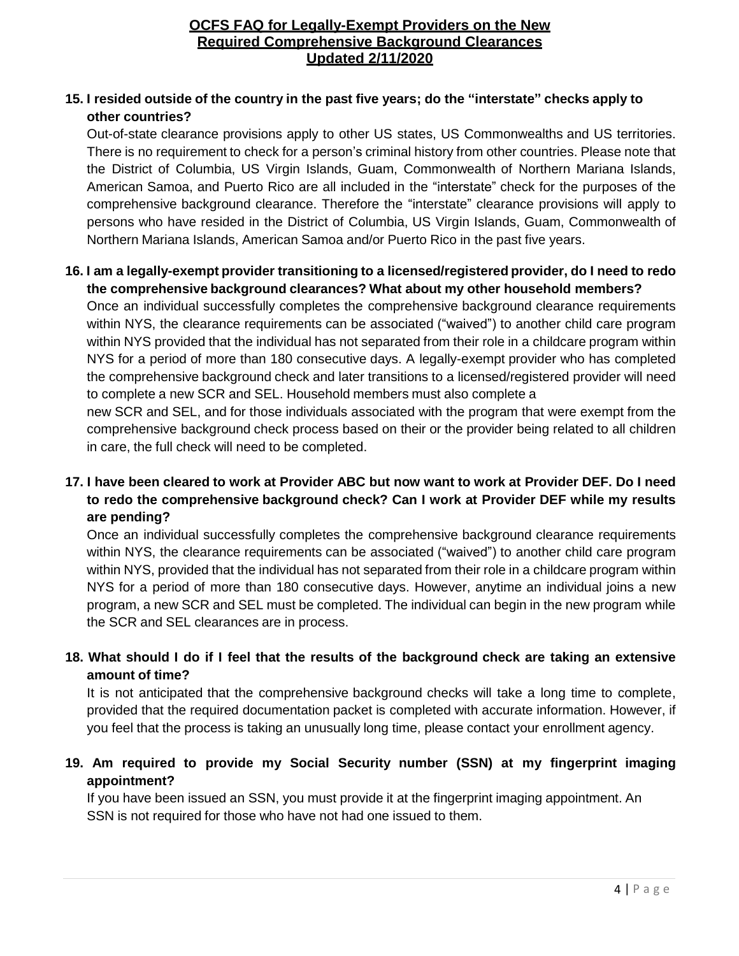### **15. I resided outside of the country in the past five years; do the "interstate" checks apply to other countries?**

Out-of-state clearance provisions apply to other US states, US Commonwealths and US territories. There is no requirement to check for a person's criminal history from other countries. Please note that the District of Columbia, US Virgin Islands, Guam, Commonwealth of Northern Mariana Islands, American Samoa, and Puerto Rico are all included in the "interstate" check for the purposes of the comprehensive background clearance. Therefore the "interstate" clearance provisions will apply to persons who have resided in the District of Columbia, US Virgin Islands, Guam, Commonwealth of Northern Mariana Islands, American Samoa and/or Puerto Rico in the past five years.

### **16. I am a legally-exempt provider transitioning to a licensed/registered provider, do I need to redo the comprehensive background clearances? What about my other household members?**

Once an individual successfully completes the comprehensive background clearance requirements within NYS, the clearance requirements can be associated ("waived") to another child care program within NYS provided that the individual has not separated from their role in a childcare program within NYS for a period of more than 180 consecutive days. A legally-exempt provider who has completed the comprehensive background check and later transitions to a licensed/registered provider will need to complete a new SCR and SEL. Household members must also complete a

new SCR and SEL, and for those individuals associated with the program that were exempt from the comprehensive background check process based on their or the provider being related to all children in care, the full check will need to be completed.

# 17. I have been cleared to work at Provider ABC but now want to work at Provider DEF. Do I need **to redo the comprehensive background check? Can I work at Provider DEF while my results are pending?**

Once an individual successfully completes the comprehensive background clearance requirements within NYS, the clearance requirements can be associated ("waived") to another child care program within NYS, provided that the individual has not separated from their role in a childcare program within NYS for a period of more than 180 consecutive days. However, anytime an individual joins a new program, a new SCR and SEL must be completed. The individual can begin in the new program while the SCR and SEL clearances are in process.

# 18. What should I do if I feel that the results of the background check are taking an extensive **amount of time?**

It is not anticipated that the comprehensive background checks will take a long time to complete, provided that the required documentation packet is completed with accurate information. However, if you feel that the process is taking an unusually long time, please contact your enrollment agency.

# **19. Am required to provide my Social Security number (SSN) at my fingerprint imaging appointment?**

If you have been issued an SSN, you must provide it at the fingerprint imaging appointment. An SSN is not required for those who have not had one issued to them.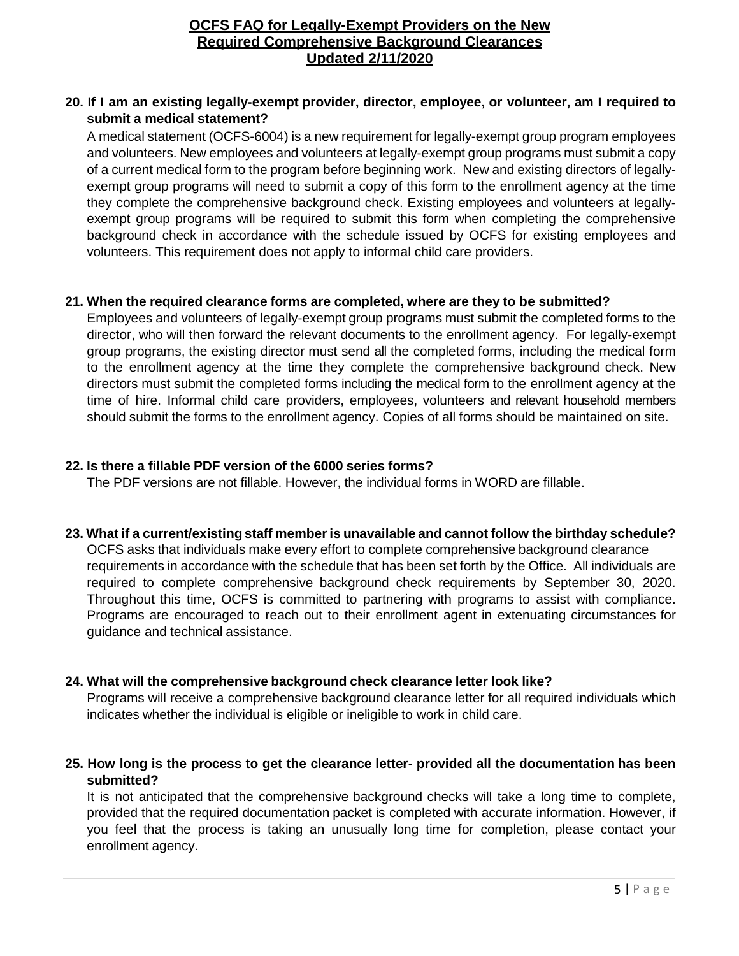#### **20. If I am an existing legally-exempt provider, director, employee, or volunteer, am I required to submit a medical statement?**

A medical statement (OCFS-6004) is a new requirement for legally-exempt group program employees and volunteers. New employees and volunteers at legally-exempt group programs must submit a copy of a current medical form to the program before beginning work. New and existing directors of legallyexempt group programs will need to submit a copy of this form to the enrollment agency at the time they complete the comprehensive background check. Existing employees and volunteers at legallyexempt group programs will be required to submit this form when completing the comprehensive background check in accordance with the schedule issued by OCFS for existing employees and volunteers. This requirement does not apply to informal child care providers.

#### **21. When the required clearance forms are completed, where are they to be submitted?**

Employees and volunteers of legally-exempt group programs must submit the completed forms to the director, who will then forward the relevant documents to the enrollment agency. For legally-exempt group programs, the existing director must send all the completed forms, including the medical form to the enrollment agency at the time they complete the comprehensive background check. New directors must submit the completed forms including the medical form to the enrollment agency at the time of hire. Informal child care providers, employees, volunteers and relevant household members should submit the forms to the enrollment agency. Copies of all forms should be maintained on site.

### **22. Is there a fillable PDF version of the 6000 series forms?**

The PDF versions are not fillable. However, the individual forms in WORD are fillable.

#### **23. What if a current/existing staff memberis unavailable and cannot follow the birthday schedule?**

OCFS asks that individuals make every effort to complete comprehensive background clearance requirements in accordance with the schedule that has been set forth by the Office. All individuals are required to complete comprehensive background check requirements by September 30, 2020. Throughout this time, OCFS is committed to partnering with programs to assist with compliance. Programs are encouraged to reach out to their enrollment agent in extenuating circumstances for guidance and technical assistance.

#### **24. What will the comprehensive background check clearance letter look like?**

Programs will receive a comprehensive background clearance letter for all required individuals which indicates whether the individual is eligible or ineligible to work in child care.

### **25. How long is the process to get the clearance letter- provided all the documentation has been submitted?**

It is not anticipated that the comprehensive background checks will take a long time to complete, provided that the required documentation packet is completed with accurate information. However, if you feel that the process is taking an unusually long time for completion, please contact your enrollment agency.